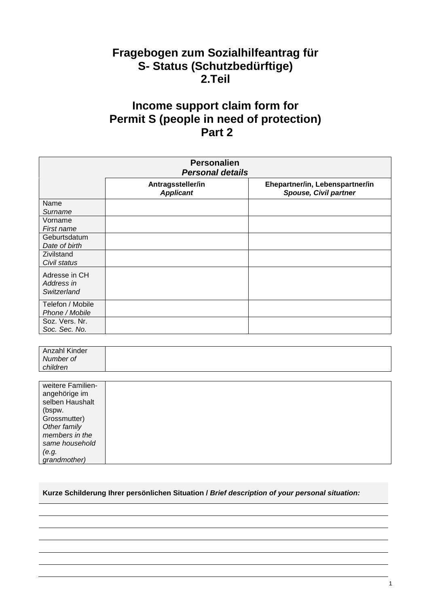## **Fragebogen zum Sozialhilfeantrag für S- Status (Schutzbedürftige) 2.Teil**

## **Income support claim form for Permit S (people in need of protection) Part 2**

| <b>Personalien</b><br><b>Personal details</b> |                                       |                                                          |  |
|-----------------------------------------------|---------------------------------------|----------------------------------------------------------|--|
|                                               | Antragssteller/in<br><b>Applicant</b> | Ehepartner/in, Lebenspartner/in<br>Spouse, Civil partner |  |
| Name<br>Surname                               |                                       |                                                          |  |
| Vorname<br>First name                         |                                       |                                                          |  |
| Geburtsdatum<br>Date of birth                 |                                       |                                                          |  |
| Zivilstand<br>Civil status                    |                                       |                                                          |  |
| Adresse in CH<br>Address in<br>Switzerland    |                                       |                                                          |  |
| Telefon / Mobile<br>Phone / Mobile            |                                       |                                                          |  |
| Soz. Vers. Nr.<br>Soc. Sec. No.               |                                       |                                                          |  |

| Anzahl Kinder |  |
|---------------|--|
| Number of     |  |
| children      |  |

| weitere Familien-<br>angehörige im<br>selben Haushalt |  |
|-------------------------------------------------------|--|
| (bspw.                                                |  |
| Grossmutter)                                          |  |
| Other family                                          |  |
| members in the                                        |  |
| same household                                        |  |
| (e.g.                                                 |  |
| grandmother)                                          |  |

## **Kurze Schilderung Ihrer persönlichen Situation /** *Brief description of your personal situation:*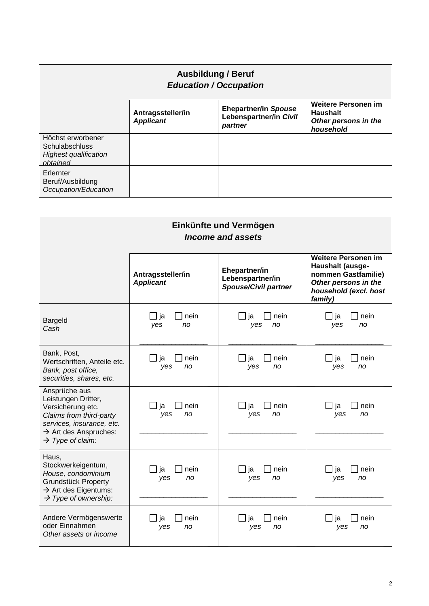| <b>Ausbildung / Beruf</b><br><b>Education / Occupation</b>                             |                                       |                                                                  |                                                                                    |
|----------------------------------------------------------------------------------------|---------------------------------------|------------------------------------------------------------------|------------------------------------------------------------------------------------|
|                                                                                        | Antragssteller/in<br><b>Applicant</b> | <b>Ehepartner/in Spouse</b><br>Lebenspartner/in Civil<br>partner | <b>Weitere Personen im</b><br><b>Haushalt</b><br>Other persons in the<br>household |
| Höchst erworbener<br><b>Schulabschluss</b><br><b>Highest qualification</b><br>obtained |                                       |                                                                  |                                                                                    |
| Erlernter<br>Beruf/Ausbildung<br>Occupation/Education                                  |                                       |                                                                  |                                                                                    |

| Einkünfte und Vermögen<br>Income and assets                                                                                                                                            |                                                     |                                                                  |                                                                                                                                   |
|----------------------------------------------------------------------------------------------------------------------------------------------------------------------------------------|-----------------------------------------------------|------------------------------------------------------------------|-----------------------------------------------------------------------------------------------------------------------------------|
|                                                                                                                                                                                        | Antragssteller/in<br><b>Applicant</b>               | Ehepartner/in<br>Lebenspartner/in<br><b>Spouse/Civil partner</b> | <b>Weitere Personen im</b><br>Haushalt (ausge-<br>nommen Gastfamilie)<br>Other persons in the<br>household (excl. host<br>family) |
| <b>Bargeld</b><br>Cash                                                                                                                                                                 | ∃ ja<br>nein<br>yes<br>no                           | nein<br>_l ja<br>yes<br>no                                       | nein<br>ja<br>yes<br>no                                                                                                           |
| Bank, Post,<br>Wertschriften, Anteile etc.<br>Bank, post office,<br>securities, shares, etc.                                                                                           | ja<br>nein<br>$\overline{\phantom{a}}$<br>yes<br>no | ja<br>nein<br>yes<br>no                                          | ja<br>nein<br>yes<br>no                                                                                                           |
| Ansprüche aus<br>Leistungen Dritter,<br>Versicherung etc.<br>Claims from third-party<br>services, insurance, etc.<br>$\rightarrow$ Art des Anspruches:<br>$\rightarrow$ Type of claim: | nein<br>ia<br>yes<br>no                             | nein<br>ja<br>yes<br>no                                          | ja<br>nein<br>yes<br>no                                                                                                           |
| Haus,<br>Stockwerkeigentum,<br>House, condominium<br><b>Grundstück Property</b><br>$\rightarrow$ Art des Eigentums:<br>$\rightarrow$ Type of ownership:                                | _] ja<br>nein<br>yes<br>no                          | _l ja<br>nein<br>yes<br>no                                       | nein<br>ja<br>yes<br>no                                                                                                           |
| Andere Vermögenswerte<br>oder Einnahmen<br>Other assets or income                                                                                                                      | nein<br>ja<br>yes<br>no                             | nein<br>ja<br>yes<br>no                                          | nein<br>ia<br>yes<br>no                                                                                                           |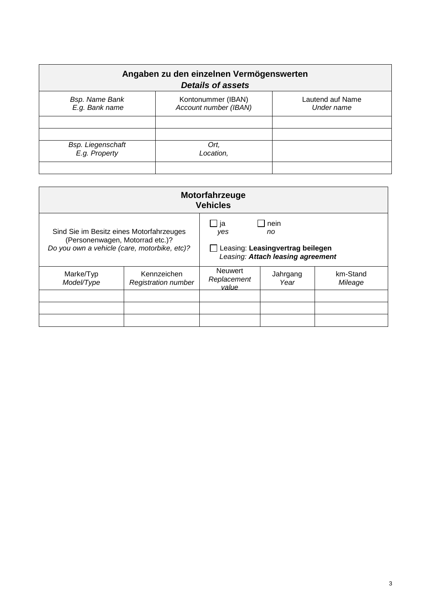| Angaben zu den einzelnen Vermögenswerten<br><b>Details of assets</b> |                                             |                                |  |
|----------------------------------------------------------------------|---------------------------------------------|--------------------------------|--|
| <b>Bsp. Name Bank</b><br>E.g. Bank name                              | Kontonummer (IBAN)<br>Account number (IBAN) | Lautend auf Name<br>Under name |  |
|                                                                      |                                             |                                |  |
| <b>Bsp. Liegenschaft</b><br>E.g. Property                            | Ort,<br>Location,                           |                                |  |
|                                                                      |                                             |                                |  |

| <b>Motorfahrzeuge</b><br><b>Vehicles</b>                                                                                    |                                           |                                                                                                                              |                  |                     |
|-----------------------------------------------------------------------------------------------------------------------------|-------------------------------------------|------------------------------------------------------------------------------------------------------------------------------|------------------|---------------------|
| Sind Sie im Besitz eines Motorfahrzeuges<br>(Personenwagen, Motorrad etc.)?<br>Do you own a vehicle (care, motorbike, etc)? |                                           | ja<br>nein<br>$\overline{\phantom{a}}$<br>yes<br>no<br>Leasing: Leasingvertrag beilegen<br>Leasing: Attach leasing agreement |                  |                     |
| Marke/Typ<br>Model/Type                                                                                                     | Kennzeichen<br><b>Registration number</b> | <b>Neuwert</b><br>Replacement<br>value                                                                                       | Jahrgang<br>Year | km-Stand<br>Mileage |
|                                                                                                                             |                                           |                                                                                                                              |                  |                     |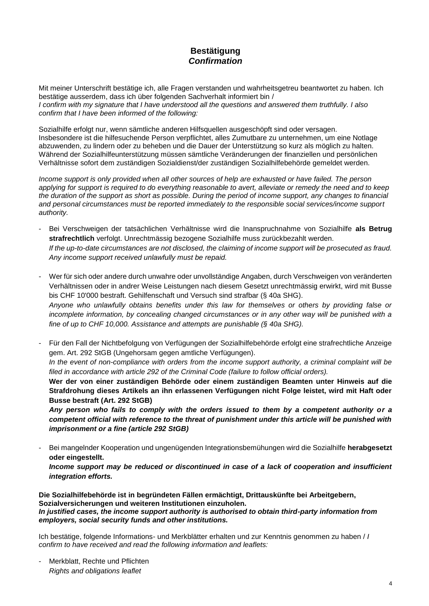## **Bestätigung**  *Confirmation*

Mit meiner Unterschrift bestätige ich, alle Fragen verstanden und wahrheitsgetreu beantwortet zu haben. Ich bestätige ausserdem, dass ich über folgenden Sachverhalt informiert bin / *I confirm with my signature that I have understood all the questions and answered them truthfully. I also confirm that I have been informed of the following:*

Sozialhilfe erfolgt nur, wenn sämtliche anderen Hilfsquellen ausgeschöpft sind oder versagen. Insbesondere ist die hilfesuchende Person verpflichtet, alles Zumutbare zu unternehmen, um eine Notlage abzuwenden, zu lindern oder zu beheben und die Dauer der Unterstützung so kurz als möglich zu halten. Während der Sozialhilfeunterstützung müssen sämtliche Veränderungen der finanziellen und persönlichen Verhältnisse sofort dem zuständigen Sozialdienst/der zuständigen Sozialhilfebehörde gemeldet werden.

*Income support is only provided when all other sources of help are exhausted or have failed. The person applying for support is required to do everything reasonable to avert, alleviate or remedy the need and to keep the duration of the support as short as possible. During the period of income support, any changes to financial and personal circumstances must be reported immediately to the responsible social services/income support authority.*

- Bei Verschweigen der tatsächlichen Verhältnisse wird die Inanspruchnahme von Sozialhilfe **als Betrug strafrechtlich** verfolgt. Unrechtmässig bezogene Sozialhilfe muss zurückbezahlt werden. *If the up-to-date circumstances are not disclosed, the claiming of income support will be prosecuted as fraud. Any income support received unlawfully must be repaid.*
- Wer für sich oder andere durch unwahre oder unvollständige Angaben, durch Verschweigen von veränderten Verhältnissen oder in andrer Weise Leistungen nach diesem Gesetzt unrechtmässig erwirkt, wird mit Busse bis CHF 10'000 bestraft. Gehilfenschaft und Versuch sind strafbar (§ 40a SHG). *Anyone who unlawfully obtains benefits under this law for themselves or others by providing false or incomplete information, by concealing changed circumstances or in any other way will be punished with a fine of up to CHF 10,000. Assistance and attempts are punishable (§ 40a SHG).*
- Für den Fall der Nichtbefolgung von Verfügungen der Sozialhilfebehörde erfolgt eine strafrechtliche Anzeige gem. Art. 292 StGB (Ungehorsam gegen amtliche Verfügungen).

*In the event of non-compliance with orders from the income support authority, a criminal complaint will be filed in accordance with article 292 of the Criminal Code (failure to follow official orders).* 

**Wer der von einer zuständigen Behörde oder einem zuständigen Beamten unter Hinweis auf die Strafdrohung dieses Artikels an ihn erlassenen Verfügungen nicht Folge leistet, wird mit Haft oder Busse bestraft (Art. 292 StGB)**

*Any person who fails to comply with the orders issued to them by a competent authority or a competent official with reference to the threat of punishment under this article will be punished with imprisonment or a fine (article 292 StGB)*

- Bei mangelnder Kooperation und ungenügenden Integrationsbemühungen wird die Sozialhilfe **herabgesetzt oder eingestellt.** 

*Income support may be reduced or discontinued in case of a lack of cooperation and insufficient integration efforts.*

**Die Sozialhilfebehörde ist in begründeten Fällen ermächtigt, Drittauskünfte bei Arbeitgebern, Sozialversicherungen und weiteren Institutionen einzuholen.**  *In justified cases, the income support authority is authorised to obtain third-party information from employers, social security funds and other institutions.*

Ich bestätige, folgende Informations- und Merkblätter erhalten und zur Kenntnis genommen zu haben / *I confirm to have received and read the following information and leaflets:*

Merkblatt, Rechte und Pflichten *Rights and obligations leaflet*